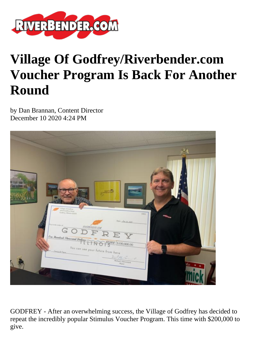

## **Village Of Godfrey/Riverbender.com Voucher Program Is Back For Another Round**

by Dan Brannan, Content Director December 10 2020 4:24 PM



GODFREY - After an overwhelming success, the Village of Godfrey has decided to repeat the incredibly popular Stimulus Voucher Program. This time with \$200,000 to give.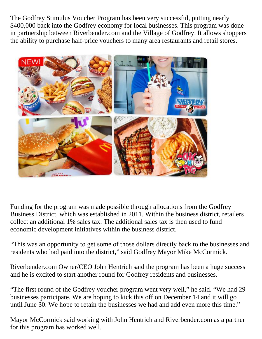The Godfrey Stimulus Voucher Program has been very successful, putting nearly \$400,000 back into the Godfrey economy for local businesses. This program was done in partnership between Riverbender.com and the Village of Godfrey. It allows shoppers the ability to purchase half-price vouchers to many area restaurants and retail stores.



Funding for the program was made possible through allocations from the Godfrey Business District, which was established in 2011. Within the business district, retailers collect an additional 1% sales tax. The additional sales tax is then used to fund economic development initiatives within the business district.

"This was an opportunity to get some of those dollars directly back to the businesses and residents who had paid into the district," said Godfrey Mayor Mike McCormick.

Riverbender.com Owner/CEO John Hentrich said the program has been a huge success and he is excited to start another round for Godfrey residents and businesses.

"The first round of the Godfrey voucher program went very well," he said. "We had 29 businesses participate. We are hoping to kick this off on December 14 and it will go until June 30. We hope to retain the businesses we had and add even more this time."

Mayor McCormick said working with John Hentrich and Riverbender.com as a partner for this program has worked well.